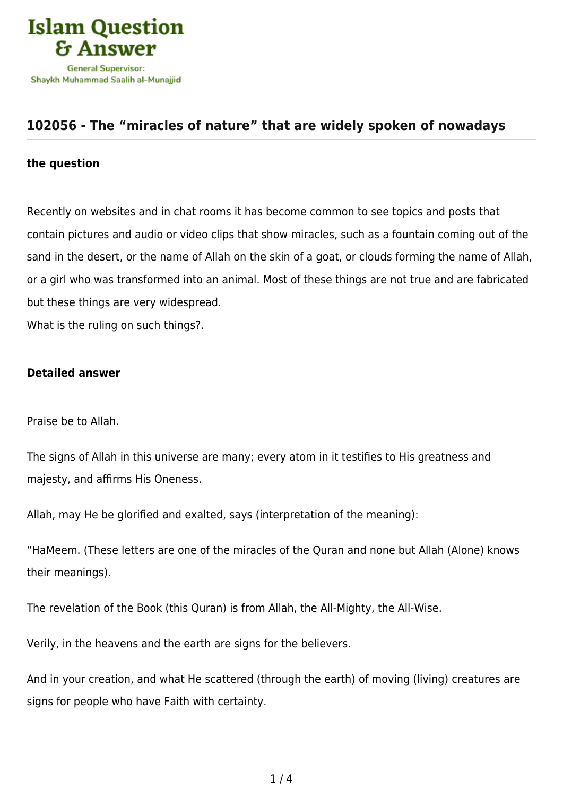

## **[102056 - The "miracles of nature" that are widely spoken of nowadays](https://islamqa.com/en/answers/102056/the-miracles-of-nature-that-are-widely-spoken-of-nowadays)**

## **the question**

Recently on websites and in chat rooms it has become common to see topics and posts that contain pictures and audio or video clips that show miracles, such as a fountain coming out of the sand in the desert, or the name of Allah on the skin of a goat, or clouds forming the name of Allah, or a girl who was transformed into an animal. Most of these things are not true and are fabricated but these things are very widespread.

What is the ruling on such things?.

## **Detailed answer**

Praise be to Allah.

The signs of Allah in this universe are many; every atom in it testifies to His greatness and majesty, and affirms His Oneness.

Allah, may He be glorified and exalted, says (interpretation of the meaning):

"HaMeem. (These letters are one of the miracles of the Quran and none but Allah (Alone) knows their meanings).

The revelation of the Book (this Quran) is from Allah, the All-Mighty, the All-Wise.

Verily, in the heavens and the earth are signs for the believers.

And in your creation, and what He scattered (through the earth) of moving (living) creatures are signs for people who have Faith with certainty.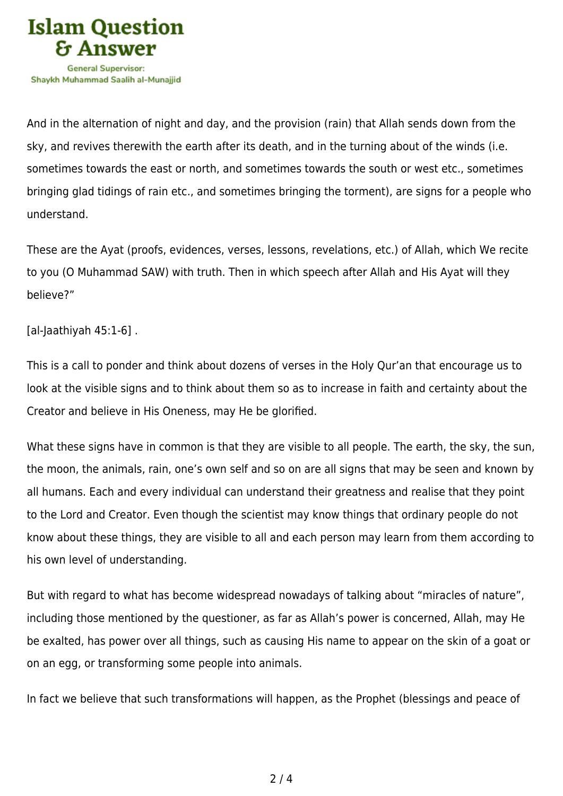

And in the alternation of night and day, and the provision (rain) that Allah sends down from the sky, and revives therewith the earth after its death, and in the turning about of the winds (i.e. sometimes towards the east or north, and sometimes towards the south or west etc., sometimes bringing glad tidings of rain etc., and sometimes bringing the torment), are signs for a people who understand.

These are the Ayat (proofs, evidences, verses, lessons, revelations, etc.) of Allah, which We recite to you (O Muhammad SAW) with truth. Then in which speech after Allah and His Ayat will they believe?"

## [al-Jaathiyah 45:1-6] .

This is a call to ponder and think about dozens of verses in the Holy Qur'an that encourage us to look at the visible signs and to think about them so as to increase in faith and certainty about the Creator and believe in His Oneness, may He be glorified.

What these signs have in common is that they are visible to all people. The earth, the sky, the sun, the moon, the animals, rain, one's own self and so on are all signs that may be seen and known by all humans. Each and every individual can understand their greatness and realise that they point to the Lord and Creator. Even though the scientist may know things that ordinary people do not know about these things, they are visible to all and each person may learn from them according to his own level of understanding.

But with regard to what has become widespread nowadays of talking about "miracles of nature", including those mentioned by the questioner, as far as Allah's power is concerned, Allah, may He be exalted, has power over all things, such as causing His name to appear on the skin of a goat or on an egg, or transforming some people into animals.

In fact we believe that such transformations will happen, as the Prophet (blessings and peace of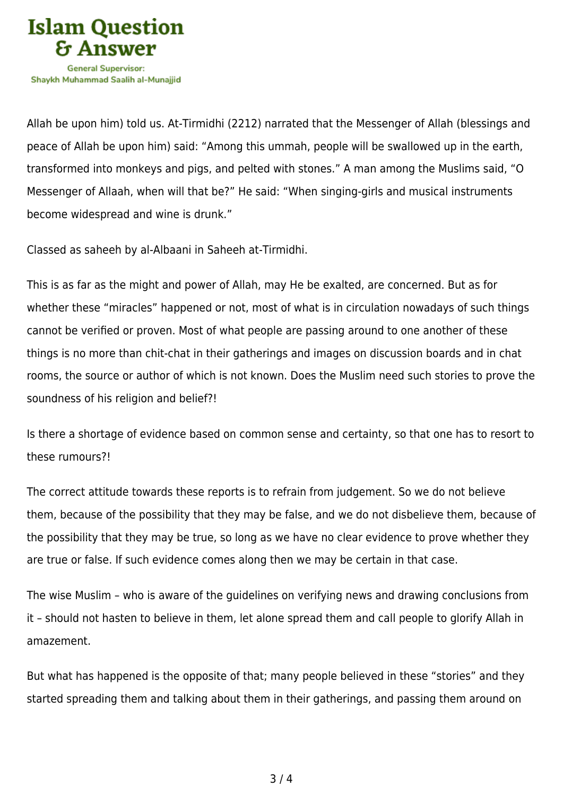

Allah be upon him) told us. At-Tirmidhi (2212) narrated that the Messenger of Allah (blessings and peace of Allah be upon him) said: "Among this ummah, people will be swallowed up in the earth, transformed into monkeys and pigs, and pelted with stones." A man among the Muslims said, "O Messenger of Allaah, when will that be?" He said: "When singing-girls and musical instruments become widespread and wine is drunk."

Classed as saheeh by al-Albaani in Saheeh at-Tirmidhi.

This is as far as the might and power of Allah, may He be exalted, are concerned. But as for whether these "miracles" happened or not, most of what is in circulation nowadays of such things cannot be verified or proven. Most of what people are passing around to one another of these things is no more than chit-chat in their gatherings and images on discussion boards and in chat rooms, the source or author of which is not known. Does the Muslim need such stories to prove the soundness of his religion and belief?!

Is there a shortage of evidence based on common sense and certainty, so that one has to resort to these rumours?!

The correct attitude towards these reports is to refrain from judgement. So we do not believe them, because of the possibility that they may be false, and we do not disbelieve them, because of the possibility that they may be true, so long as we have no clear evidence to prove whether they are true or false. If such evidence comes along then we may be certain in that case.

The wise Muslim – who is aware of the guidelines on verifying news and drawing conclusions from it – should not hasten to believe in them, let alone spread them and call people to glorify Allah in amazement.

But what has happened is the opposite of that; many people believed in these "stories" and they started spreading them and talking about them in their gatherings, and passing them around on